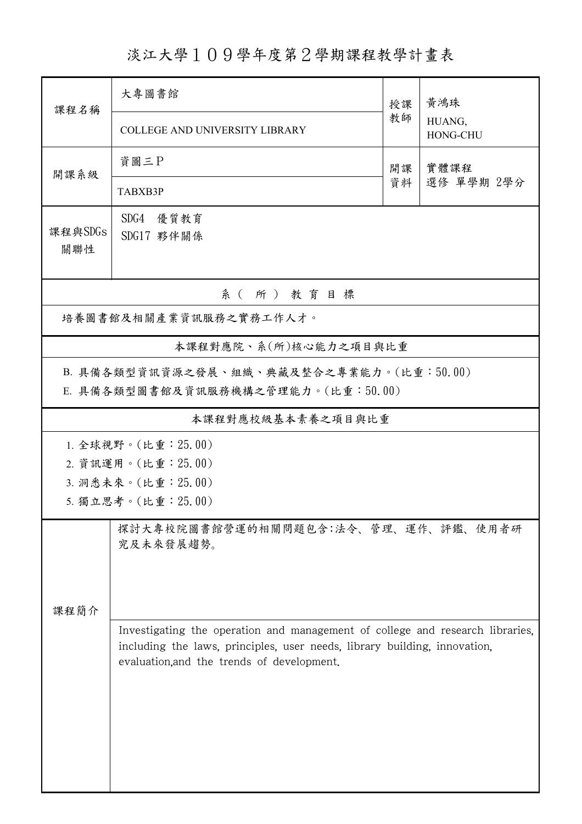淡江大學109學年度第2學期課程教學計畫表

| 課程名稱                                                                                                                                                                                                                                                                 | 大專圖書館                                 | 授課 | 黃鴻珠<br>HUANG,<br>HONG-CHU |  |  |  |
|----------------------------------------------------------------------------------------------------------------------------------------------------------------------------------------------------------------------------------------------------------------------|---------------------------------------|----|---------------------------|--|--|--|
|                                                                                                                                                                                                                                                                      | <b>COLLEGE AND UNIVERSITY LIBRARY</b> | 教師 |                           |  |  |  |
| 開課系級                                                                                                                                                                                                                                                                 | 資圖三P                                  | 開課 | 實體課程                      |  |  |  |
|                                                                                                                                                                                                                                                                      | TABXB3P                               | 資料 | 選修 單學期 2學分                |  |  |  |
| 課程與SDGs<br>關聯性                                                                                                                                                                                                                                                       | SDG4 優質教育<br>SDG17 夥伴關係               |    |                           |  |  |  |
| 系(所)教育目標                                                                                                                                                                                                                                                             |                                       |    |                           |  |  |  |
| 培養圖書館及相關產業資訊服務之實務工作人才。                                                                                                                                                                                                                                               |                                       |    |                           |  |  |  |
|                                                                                                                                                                                                                                                                      | 本課程對應院、系(所)核心能力之項目與比重                 |    |                           |  |  |  |
| B. 具備各類型資訊資源之發展、組織、典藏及整合之專業能力。(比重:50.00)<br>E. 具備各類型圖書館及資訊服務機構之管理能力。(比重:50.00)                                                                                                                                                                                       |                                       |    |                           |  |  |  |
| 本課程對應校級基本素養之項目與比重                                                                                                                                                                                                                                                    |                                       |    |                           |  |  |  |
| 1. 全球視野。(比重: 25.00)<br>2. 資訊運用。(比重: 25.00)<br>3. 洞悉未來。(比重: 25.00)<br>5. 獨立思考。(比重: 25.00)                                                                                                                                                                             |                                       |    |                           |  |  |  |
| 探討大專校院圖書館營運的相關問題包含:法令、管理、運作、評鑑、使用者研<br>究及未來發展趨勢。<br>课程简介<br>Investigating the operation and management of college and research libraries,<br>including the laws, principles, user needs, library building, innovation,<br>evaluation, and the trends of development. |                                       |    |                           |  |  |  |
|                                                                                                                                                                                                                                                                      |                                       |    |                           |  |  |  |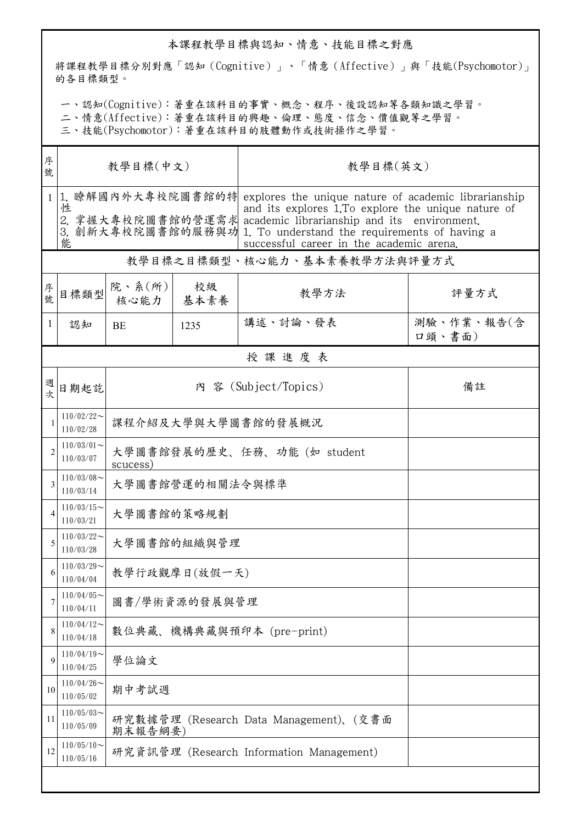## 本課程教學目標與認知、情意、技能目標之對應

將課程教學目標分別對應「認知(Cognitive)」、「情意(Affective)」與「技能(Psychomotor)」 的各目標類型。

一、認知(Cognitive):著重在該科目的事實、概念、程序、後設認知等各類知識之學習。

二、情意(Affective):著重在該科目的興趣、倫理、態度、信念、價值觀等之學習。

三、技能(Psychomotor):著重在該科目的肢體動作或技術操作之學習。

| 序<br>號       | 教學目標(中文)                     |                                                   |            | 教學目標(英文)                                                                                                                                                                                                                                                                                                      |                      |  |  |
|--------------|------------------------------|---------------------------------------------------|------------|---------------------------------------------------------------------------------------------------------------------------------------------------------------------------------------------------------------------------------------------------------------------------------------------------------------|----------------------|--|--|
| $\mathbf{1}$ | 性<br>能                       |                                                   |            | 1. 瞭解國內外大專校院圖書館的特 explores the unique nature of academic librarianship<br>and its explores 1. To explore the unique nature of<br>2. 掌握大專校院圖書館的營運需求 academic librarianship and its environment.<br>3. 創新大專校院圖書館的服務與功 1. To understand the requirements of having a<br>successful career in the academic arena. |                      |  |  |
|              | 教學目標之目標類型、核心能力、基本素養教學方法與評量方式 |                                                   |            |                                                                                                                                                                                                                                                                                                               |                      |  |  |
| 序號           | 目標類型                         | 院、系(所)<br>核心能力                                    | 校級<br>基本素養 | 教學方法                                                                                                                                                                                                                                                                                                          | 評量方式                 |  |  |
| 1            | 認知                           | BE                                                | 1235       | 講述、討論、發表                                                                                                                                                                                                                                                                                                      | 測驗、作業、報告(含<br>口頭、書面) |  |  |
|              | 授課進度表                        |                                                   |            |                                                                                                                                                                                                                                                                                                               |                      |  |  |
| 週次           | 日期起訖                         | 內 容 (Subject/Topics)<br>備註                        |            |                                                                                                                                                                                                                                                                                                               |                      |  |  |
| 1            | $110/02/22$ ~<br>110/02/28   | 課程介紹及大學與大學圖書館的發展概況                                |            |                                                                                                                                                                                                                                                                                                               |                      |  |  |
| 2            | $110/03/01$ ~<br>110/03/07   | 大學圖書館發展的歷史、任務、功能 (如 student<br>scucess)           |            |                                                                                                                                                                                                                                                                                                               |                      |  |  |
| 3            | $110/03/08$ ~<br>110/03/14   | 大學圖書館營運的相關法令與標準                                   |            |                                                                                                                                                                                                                                                                                                               |                      |  |  |
| 4            | $110/03/15$ ~<br>110/03/21   | 大學圖書館的策略規劃                                        |            |                                                                                                                                                                                                                                                                                                               |                      |  |  |
| 5            | $110/03/22$ ~<br>110/03/28   | 大學圖書館的組織與管理                                       |            |                                                                                                                                                                                                                                                                                                               |                      |  |  |
| 6            | $110/03/29$ ~<br>110/04/04   | 教學行政觀摩日(放假一天)                                     |            |                                                                                                                                                                                                                                                                                                               |                      |  |  |
| 7            | $110/04/05$ ~<br>110/04/11   | 圖書/學術資源的發展與管理                                     |            |                                                                                                                                                                                                                                                                                                               |                      |  |  |
| 8            | $110/04/12$ ~<br>110/04/18   | 數位典藏、機構典藏與預印本 (pre-print)                         |            |                                                                                                                                                                                                                                                                                                               |                      |  |  |
| 9            | $110/04/19$ ~<br>110/04/25   | 學位論文                                              |            |                                                                                                                                                                                                                                                                                                               |                      |  |  |
| 10           | $110/04/26$ ~<br>110/05/02   | 期中考試週                                             |            |                                                                                                                                                                                                                                                                                                               |                      |  |  |
| 11           | $110/05/03$ ~<br>110/05/09   | 研究數據管理 (Research Data Management)、(交書面<br>期末報告綱要) |            |                                                                                                                                                                                                                                                                                                               |                      |  |  |
| 12           | $110/05/10$ ~<br>110/05/16   | 研究資訊管理 (Research Information Management)          |            |                                                                                                                                                                                                                                                                                                               |                      |  |  |
|              |                              |                                                   |            |                                                                                                                                                                                                                                                                                                               |                      |  |  |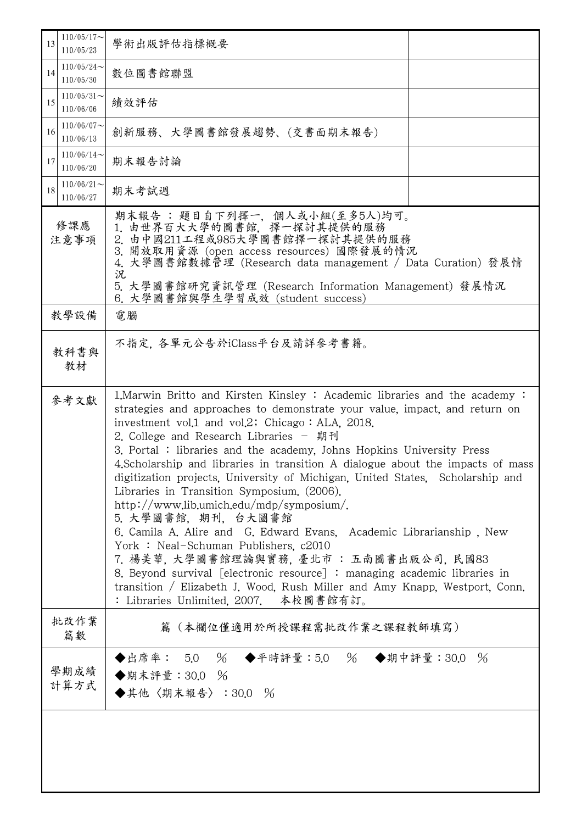| 13                                                                                                                                                                                                                                                                                                                                                                                                                                                                                                                                                                                                                                                                                                                                                                                                                                                                                                                                                                                                                                                                                                            | $110/05/17$ ~<br>110/05/23 | 學術出版評估指標概要                                                                                                                                                                                                                                                                                             |  |  |  |
|---------------------------------------------------------------------------------------------------------------------------------------------------------------------------------------------------------------------------------------------------------------------------------------------------------------------------------------------------------------------------------------------------------------------------------------------------------------------------------------------------------------------------------------------------------------------------------------------------------------------------------------------------------------------------------------------------------------------------------------------------------------------------------------------------------------------------------------------------------------------------------------------------------------------------------------------------------------------------------------------------------------------------------------------------------------------------------------------------------------|----------------------------|--------------------------------------------------------------------------------------------------------------------------------------------------------------------------------------------------------------------------------------------------------------------------------------------------------|--|--|--|
| 14                                                                                                                                                                                                                                                                                                                                                                                                                                                                                                                                                                                                                                                                                                                                                                                                                                                                                                                                                                                                                                                                                                            | $110/05/24$ ~<br>110/05/30 | 數位圖書館聯盟                                                                                                                                                                                                                                                                                                |  |  |  |
| 15                                                                                                                                                                                                                                                                                                                                                                                                                                                                                                                                                                                                                                                                                                                                                                                                                                                                                                                                                                                                                                                                                                            | $110/05/31$ ~<br>110/06/06 | 績效評估                                                                                                                                                                                                                                                                                                   |  |  |  |
| 16                                                                                                                                                                                                                                                                                                                                                                                                                                                                                                                                                                                                                                                                                                                                                                                                                                                                                                                                                                                                                                                                                                            | $110/06/07$ ~<br>110/06/13 | 創新服務、大學圖書館發展趨勢、(交書面期末報告)                                                                                                                                                                                                                                                                               |  |  |  |
| 17                                                                                                                                                                                                                                                                                                                                                                                                                                                                                                                                                                                                                                                                                                                                                                                                                                                                                                                                                                                                                                                                                                            | $110/06/14$ ~<br>110/06/20 | 期末報告討論                                                                                                                                                                                                                                                                                                 |  |  |  |
| 18                                                                                                                                                                                                                                                                                                                                                                                                                                                                                                                                                                                                                                                                                                                                                                                                                                                                                                                                                                                                                                                                                                            | $110/06/21$ ~<br>110/06/27 | 期末考試週                                                                                                                                                                                                                                                                                                  |  |  |  |
| 修課應<br>注意事項<br>況                                                                                                                                                                                                                                                                                                                                                                                                                                                                                                                                                                                                                                                                                                                                                                                                                                                                                                                                                                                                                                                                                              |                            | 期末報告:題目自下列擇一, 個人或小組(至多5人)均可。<br>1. 由世界百大大學的圖書館, 擇一探討其提供的服務<br>2. 由中國211工程或985大學圖書館擇一探討其提供的服務<br>3. 開放取用資源 (open access resources) 國際發展的情況<br>4. 大學圖書館數據管理 (Research data management / Data Curation) 發展情<br>5. 大學圖書館研究資訊管理 (Research Information Management) 發展情況<br>6. 大學圖書館與學生學習成效 (student success) |  |  |  |
|                                                                                                                                                                                                                                                                                                                                                                                                                                                                                                                                                                                                                                                                                                                                                                                                                                                                                                                                                                                                                                                                                                               | 教學設備                       | 電腦                                                                                                                                                                                                                                                                                                     |  |  |  |
|                                                                                                                                                                                                                                                                                                                                                                                                                                                                                                                                                                                                                                                                                                                                                                                                                                                                                                                                                                                                                                                                                                               | 教科書與<br>教材                 | 不指定,各單元公告於iClass平台及請詳參考書籍。                                                                                                                                                                                                                                                                             |  |  |  |
| 1. Marwin Britto and Kirsten Kinsley : Academic libraries and the academy :<br>參考文獻<br>strategies and approaches to demonstrate your value, impact, and return on<br>investment vol.1 and vol.2; Chicago: ALA, 2018.<br>2. College and Research Libraries - 期刊<br>3. Portal: libraries and the academy, Johns Hopkins University Press<br>4. Scholarship and libraries in transition A dialogue about the impacts of mass<br>digitization projects, University of Michigan, United States, Scholarship and<br>Libraries in Transition Symposium. (2006).<br>http://www.lib.umich.edu/mdp/symposium/.<br>5. 大學圖書館, 期刊, 台大圖書館<br>6. Camila A. Alire and G. Edward Evans, Academic Librarianship, New<br>York: Neal-Schuman Publishers, c2010<br>7. 楊美華, 大學圖書館理論與實務, 臺北市 : 五南圖書出版公司, 民國83<br>8. Beyond survival [electronic resource] : managing academic libraries in<br>transition / Elizabeth J. Wood, Rush Miller and Amy Knapp, Westport, Conn.<br>: Libraries Unlimited, 2007. 本校圖書館有訂。<br>批改作業<br>篇(本欄位僅適用於所授課程需批改作業之課程教師填寫)<br>篇數<br>◆出席率: 5.0 % ◆平時評量:5.0 % ◆期中評量:30.0<br>$\%$<br>學期成績<br>◆期末評量: 30.0 % |                            |                                                                                                                                                                                                                                                                                                        |  |  |  |
|                                                                                                                                                                                                                                                                                                                                                                                                                                                                                                                                                                                                                                                                                                                                                                                                                                                                                                                                                                                                                                                                                                               | 計算方式                       | ◆其他〈期末報告〉:30.0 %                                                                                                                                                                                                                                                                                       |  |  |  |